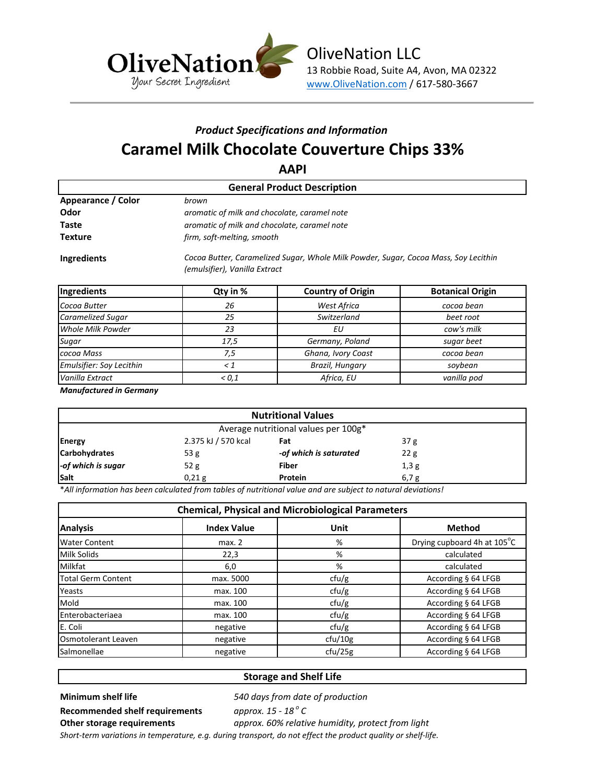

# *Product Specifications and Information* **Caramel Milk Chocolate Couverture Chips 33%**

**AAPI**

| <b>General Product Description</b> |                                                                                                                      |  |  |  |  |  |
|------------------------------------|----------------------------------------------------------------------------------------------------------------------|--|--|--|--|--|
| Appearance / Color<br>brown        |                                                                                                                      |  |  |  |  |  |
| Odor                               | aromatic of milk and chocolate, caramel note                                                                         |  |  |  |  |  |
| Taste                              | aromatic of milk and chocolate, caramel note                                                                         |  |  |  |  |  |
| <b>Texture</b>                     | firm, soft-melting, smooth                                                                                           |  |  |  |  |  |
| Ingredients                        | Cocoa Butter, Caramelized Sugar, Whole Milk Powder, Sugar, Cocoa Mass, Soy Lecithin<br>(emulsifier), Vanilla Extract |  |  |  |  |  |

| Ingredients              | Qty in %                | <b>Country of Origin</b> | <b>Botanical Origin</b> |  |
|--------------------------|-------------------------|--------------------------|-------------------------|--|
| Cocoa Butter             | 26                      | West Africa              | cocoa bean              |  |
| Caramelized Sugar        | 25                      | Switzerland              | beet root               |  |
| Whole Milk Powder        | 23                      | ΕU                       | cow's milk              |  |
| Sugar                    | Germany, Poland<br>17,5 |                          | sugar beet              |  |
| cocoa Mass               | 7.5                     | Ghana, Ivory Coast       | cocoa bean              |  |
| Emulsifier: Soy Lecithin | - 1                     | Brazil, Hungary          | soybean                 |  |
| Vanilla Extract          | ${}_{0.1}$              | Africa, EU               | vanilla pod             |  |

*Manufactured in Germany*

| <b>Nutritional Values</b>            |                                               |                        |      |  |  |
|--------------------------------------|-----------------------------------------------|------------------------|------|--|--|
| Average nutritional values per 100g* |                                               |                        |      |  |  |
| <b>Energy</b>                        | 2.375 kJ / 570 kcal<br>37 <sub>g</sub><br>Fat |                        |      |  |  |
| <b>Carbohydrates</b>                 | 53 $g$                                        | -of which is saturated | 22g  |  |  |
| -of which is sugar                   | 52 $g$                                        | <b>Fiber</b>           | 1,3g |  |  |
| Salt                                 | 0,21g                                         | Protein                | 6,7g |  |  |

\**All information has been calculated from tables of nutritional value and are subject to natural deviations!*

| <b>Chemical, Physical and Microbiological Parameters</b> |                    |         |                             |  |  |
|----------------------------------------------------------|--------------------|---------|-----------------------------|--|--|
| <b>Analysis</b>                                          | <b>Index Value</b> | Unit    | <b>Method</b>               |  |  |
| <b>Water Content</b>                                     | max. 2             | %       | Drying cupboard 4h at 105°C |  |  |
| Milk Solids                                              | 22,3               | %       | calculated                  |  |  |
| <b>Milkfat</b>                                           | 6,0                | %       | calculated                  |  |  |
| <b>Total Germ Content</b>                                | max. 5000          | ctu/g   | According § 64 LFGB         |  |  |
| Yeasts                                                   | max. 100           | ctu/g   | According § 64 LFGB         |  |  |
| Mold                                                     | max. 100           | ctu/g   | According § 64 LFGB         |  |  |
| Enterobacteriaea                                         | max. 100           | ctu/g   | According § 64 LFGB         |  |  |
| E. Coli                                                  | negative           | ctu/g   | According § 64 LFGB         |  |  |
| <b>Osmotolerant Leaven</b>                               | negative           | ctu/10g | According § 64 LFGB         |  |  |
| Salmonellae                                              | negative           | ctu/25g | According § 64 LFGB         |  |  |

### **Storage and Shelf Life**

### **Minimum shelf life** *540 days from date of production*

**Recommended shelf requirements** *approx. 15 - 18 <sup>o</sup>*

approx. 15 - 18<sup>°</sup> C **Other storage requirements** *approx. 60% relative humidity, protect from light*

*Short-term variations in temperature, e.g. during transport, do not effect the product quality or shelf-life.*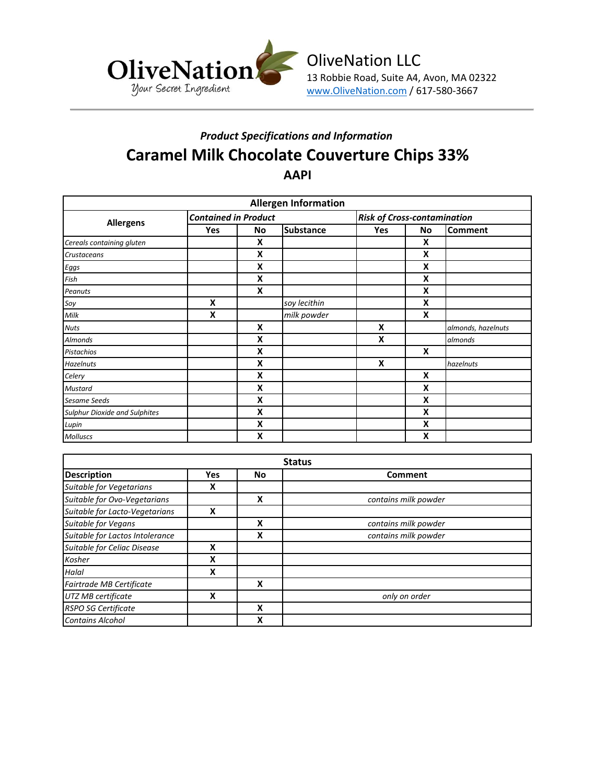

## *Product Specifications and Information* **Caramel Milk Chocolate Couverture Chips 33% AAPI**

| <b>Allergen Information</b>          |                             |    |                  |                                    |    |                    |
|--------------------------------------|-----------------------------|----|------------------|------------------------------------|----|--------------------|
| <b>Allergens</b>                     | <b>Contained in Product</b> |    |                  | <b>Risk of Cross-contamination</b> |    |                    |
|                                      | Yes                         | No | <b>Substance</b> | Yes                                | No | <b>Comment</b>     |
| Cereals containing gluten            |                             | X  |                  |                                    | x  |                    |
| Crustaceans                          |                             | X  |                  |                                    | X  |                    |
| Eggs                                 |                             | X  |                  |                                    | X  |                    |
| Fish                                 |                             | Χ  |                  |                                    | X  |                    |
| Peanuts                              |                             | x  |                  |                                    | X  |                    |
| Soy                                  | X                           |    | soy lecithin     |                                    | X  |                    |
| Milk                                 | X                           |    | milk powder      |                                    | X  |                    |
| <b>Nuts</b>                          |                             | X  |                  | X                                  |    | almonds, hazelnuts |
| <b>Almonds</b>                       |                             | Χ  |                  | X                                  |    | almonds            |
| Pistachios                           |                             | Χ  |                  |                                    | X  |                    |
| <b>Hazelnuts</b>                     |                             | Χ  |                  | X                                  |    | hazelnuts          |
| Celery                               |                             | X  |                  |                                    | X  |                    |
| Mustard                              |                             | X  |                  |                                    | X  |                    |
| Sesame Seeds                         |                             | X  |                  |                                    | X  |                    |
| <b>Sulphur Dioxide and Sulphites</b> |                             | x  |                  |                                    | X  |                    |
| Lupin                                |                             | X  |                  |                                    | x  |                    |
| <b>Molluscs</b>                      |                             | X  |                  |                                    | X  |                    |

| <b>Status</b>                   |            |    |                      |  |
|---------------------------------|------------|----|----------------------|--|
| <b>Description</b>              | <b>Yes</b> | No | Comment              |  |
| Suitable for Vegetarians        | x          |    |                      |  |
| Suitable for Ovo-Vegetarians    |            | X  | contains milk powder |  |
| Suitable for Lacto-Vegetarians  | x          |    |                      |  |
| <b>Suitable for Vegans</b>      |            | X  | contains milk powder |  |
| Suitable for Lactos Intolerance |            | X  | contains milk powder |  |
| Suitable for Celiac Disease     | X          |    |                      |  |
| Kosher                          | x          |    |                      |  |
| Halal                           | X          |    |                      |  |
| <b>Fairtrade MB Certificate</b> |            | X  |                      |  |
| UTZ MB certificate              | X          |    | only on order        |  |
| <b>RSPO SG Certificate</b>      |            | X  |                      |  |
| <b>Contains Alcohol</b>         |            | X  |                      |  |